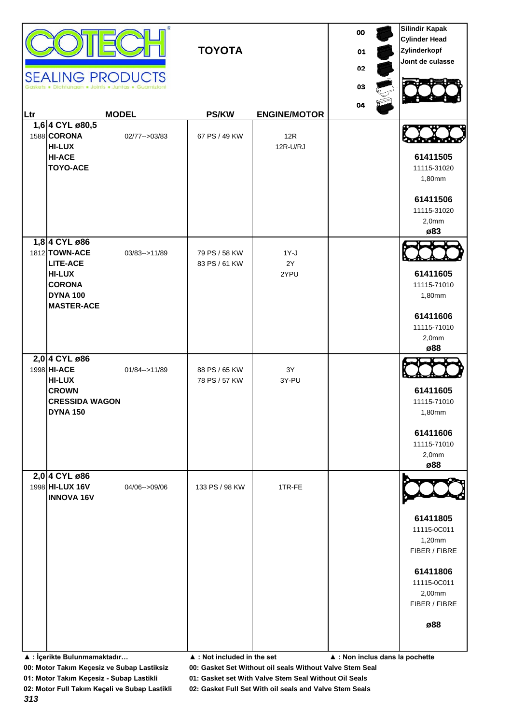|     | <b>SEALING PRODUCTS</b><br>Dichtungen . Joints . Juntas . Guarnizio                                                         | œ.               | <b>TOYOTA</b>                  |                        | 00<br>01<br>02<br>03<br>04 | <b>Silindir Kapak</b><br><b>Cylinder Head</b><br>Zylinderkopf<br>Joint de culasse                               |
|-----|-----------------------------------------------------------------------------------------------------------------------------|------------------|--------------------------------|------------------------|----------------------------|-----------------------------------------------------------------------------------------------------------------|
| Ltr |                                                                                                                             | <b>MODEL</b>     | <b>PS/KW</b>                   | <b>ENGINE/MOTOR</b>    |                            |                                                                                                                 |
|     | 1,6 4 CYL ø80,5<br>1588 CORONA<br><b>HI-LUX</b><br><b>HI-ACE</b><br><b>TOYO-ACE</b>                                         | 02/77 -- > 03/83 | 67 PS / 49 KW                  | 12R<br>12R-U/RJ        |                            | 61411505<br>11115-31020<br>1,80mm<br>61411506<br>11115-31020<br>2,0mm<br>ø83                                    |
|     | 1,8 4 CYL ø86<br>1812 TOWN-ACE<br><b>LITE-ACE</b><br><b>HI-LUX</b><br><b>CORONA</b><br><b>DYNA 100</b><br><b>MASTER-ACE</b> | 03/83-->11/89    | 79 PS / 58 KW<br>83 PS / 61 KW | $1Y-J$<br>2Y<br>2YPU   |                            | 61411605<br>11115-71010<br>1,80mm<br>61411606<br>11115-71010<br>2,0mm<br>ø88                                    |
|     | 2,0 4 CYL ø86<br>1998 HI-ACE<br><b>HI-LUX</b><br><b>CROWN</b><br><b>CRESSIDA WAGON</b><br><b>DYNA 150</b>                   | 01/84 -- > 11/89 | 88 PS / 65 KW<br>78 PS / 57 KW | $3\mathsf{Y}$<br>3Y-PU |                            | 61411605<br>11115-71010<br>1,80mm<br>61411606<br>11115-71010<br>2,0mm<br>ø88                                    |
|     | 2,0 4 CYL ø86<br>1998 HI-LUX 16V<br><b>INNOVA 16V</b>                                                                       | 04/06-->09/06    | 133 PS / 98 KW                 | 1TR-FE                 |                            | 61411805<br>11115-0C011<br>1,20mm<br>FIBER / FIBRE<br>61411806<br>11115-0C011<br>2,00mm<br>FIBER / FIBRE<br>ø88 |

**▲ : İçerikte Bulunmamaktadır… ▲ : Not included in the set ▲ : Non inclus dans la pochette**

**00: Motor Takım Keçesiz ve Subap Lastiksiz 00: Gasket Set Without oil seals Without Valve Stem Seal**

**01: Motor Takım Keçesiz - Subap Lastikli 01: Gasket set With Valve Stem Seal Without Oil Seals**

**02: Motor Full Takım Keçeli ve Subap Lastikli 02: Gasket Full Set With oil seals and Valve Stem Seals**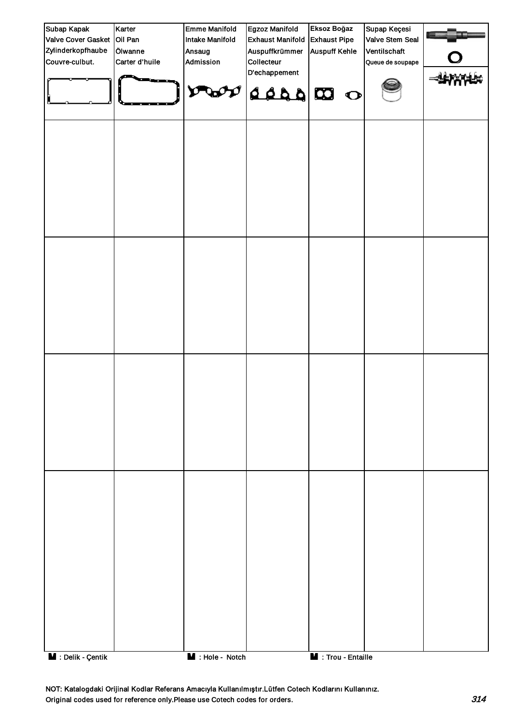| Subap Kapak                | Karter         | <b>Emme Manifold</b>   | Egzoz Manifold            | Eksoz Boğaz          | Supap Keçesi     |  |
|----------------------------|----------------|------------------------|---------------------------|----------------------|------------------|--|
| Valve Cover Gasket Oil Pan |                | <b>Intake Manifold</b> | <b>Exhaust Manifold</b>   | <b>Exhaust Pipe</b>  | Valve Stem Seal  |  |
| Zylinderkopfhaube          | Ölwanne        | Ansaug                 | Auspuffkrümmer            | <b>Auspuff Kehle</b> | Ventilschaft     |  |
| Couvre-culbut.             | Carter d'huile | Admission              | Collecteur                |                      | Queue de soupape |  |
|                            |                | $\mathbf v$            | D'echappement<br>O CO 222 |                      |                  |  |
|                            |                |                        |                           |                      |                  |  |
|                            |                |                        |                           |                      |                  |  |
|                            |                |                        |                           |                      |                  |  |
|                            |                |                        |                           |                      |                  |  |
| M : Delik - Çentik         |                | $M :$ Hole - Notch     |                           | M : Trou - Entaille  |                  |  |

NOT: Katalogdaki Orijinal Kodlar Referans Amacıyla Kullanılmıştır.Lütfen Cotech Kodlarını Kullanınız. Original codes used for reference only.Please use Cotech codes for orders. 314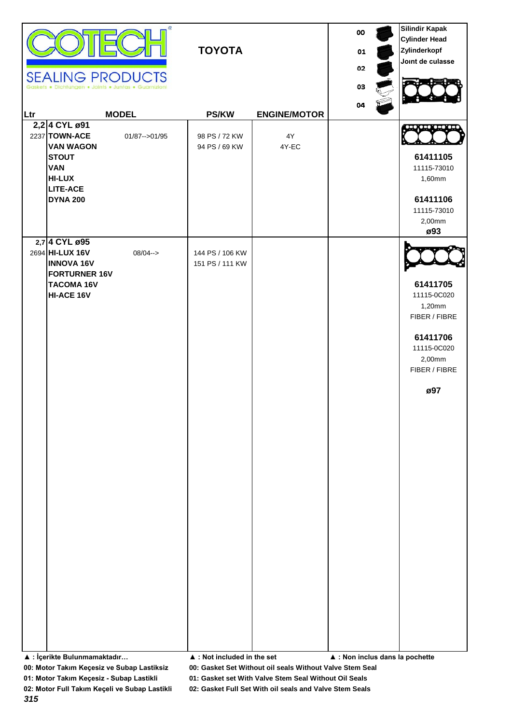| 2,2 4 CYL ø91<br>2237 TOWN-ACE<br>$4\mathsf{Y}$<br>01/87 -- > 01/95<br>98 PS / 72 KW<br><b>VAN WAGON</b><br>94 PS / 69 KW<br>4Y-EC<br>61411105<br><b>STOUT</b><br><b>VAN</b><br>11115-73010<br><b>HI-LUX</b><br>1,60mm<br><b>LITE-ACE</b><br>61411106<br><b>DYNA 200</b><br>11115-73010<br>2,00mm<br>ø93<br>2,7 4 CYL ø95<br>2694 HI-LUX 16V<br>$08/04 - >$<br>144 PS / 106 KW<br><b>INNOVA 16V</b><br>151 PS / 111 KW<br><b>FORTURNER 16V</b><br>61411705<br><b>TACOMA 16V</b><br>HI-ACE 16V<br>11115-0C020<br>1,20mm<br>FIBER / FIBRE<br>61411706<br>11115-0C020<br>2,00mm<br>FIBER / FIBRE<br>ø97 | Ltr | <b>SEALING PRODUCTS</b><br>Dichtungen . Joints . Juntas . Guarnizioni | œ.<br><b>MODEL</b> | <b>TOYOTA</b><br><b>PS/KW</b> | <b>ENGINE/MOTOR</b> | oo<br>01<br>02<br>03<br>04 | <b>Silindir Kapak</b><br><b>Cylinder Head</b><br>Zylinderkopf<br>Joint de culasse |
|------------------------------------------------------------------------------------------------------------------------------------------------------------------------------------------------------------------------------------------------------------------------------------------------------------------------------------------------------------------------------------------------------------------------------------------------------------------------------------------------------------------------------------------------------------------------------------------------------|-----|-----------------------------------------------------------------------|--------------------|-------------------------------|---------------------|----------------------------|-----------------------------------------------------------------------------------|
|                                                                                                                                                                                                                                                                                                                                                                                                                                                                                                                                                                                                      |     |                                                                       |                    |                               |                     |                            |                                                                                   |
| ▲ : İçerikte Bulunmamaktadır<br>$\blacktriangle$ : Not included in the set<br>▲ : Non inclus dans la pochette                                                                                                                                                                                                                                                                                                                                                                                                                                                                                        |     |                                                                       |                    |                               |                     |                            |                                                                                   |

**00: Motor Takım Keçesiz ve Subap Lastiksiz 00: Gasket Set Without oil seals Without Valve Stem Seal**

**01: Motor Takım Keçesiz - Subap Lastikli 01: Gasket set With Valve Stem Seal Without Oil Seals**

**02: Motor Full Takım Keçeli ve Subap Lastikli 02: Gasket Full Set With oil seals and Valve Stem Seals**